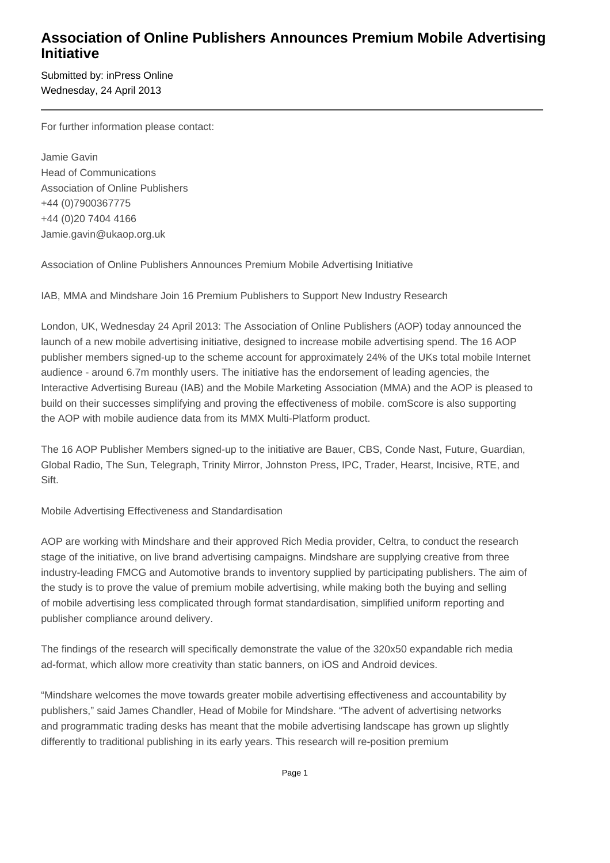## **Association of Online Publishers Announces Premium Mobile Advertising Initiative**

Submitted by: inPress Online Wednesday, 24 April 2013

For further information please contact:

Jamie Gavin Head of Communications Association of Online Publishers +44 (0)7900367775 +44 (0)20 7404 4166 Jamie.gavin@ukaop.org.uk

Association of Online Publishers Announces Premium Mobile Advertising Initiative

IAB, MMA and Mindshare Join 16 Premium Publishers to Support New Industry Research

London, UK, Wednesday 24 April 2013: The Association of Online Publishers (AOP) today announced the launch of a new mobile advertising initiative, designed to increase mobile advertising spend. The 16 AOP publisher members signed-up to the scheme account for approximately 24% of the UKs total mobile Internet audience - around 6.7m monthly users. The initiative has the endorsement of leading agencies, the Interactive Advertising Bureau (IAB) and the Mobile Marketing Association (MMA) and the AOP is pleased to build on their successes simplifying and proving the effectiveness of mobile. comScore is also supporting the AOP with mobile audience data from its MMX Multi-Platform product.

The 16 AOP Publisher Members signed-up to the initiative are Bauer, CBS, Conde Nast, Future, Guardian, Global Radio, The Sun, Telegraph, Trinity Mirror, Johnston Press, IPC, Trader, Hearst, Incisive, RTE, and Sift.

Mobile Advertising Effectiveness and Standardisation

AOP are working with Mindshare and their approved Rich Media provider, Celtra, to conduct the research stage of the initiative, on live brand advertising campaigns. Mindshare are supplying creative from three industry-leading FMCG and Automotive brands to inventory supplied by participating publishers. The aim of the study is to prove the value of premium mobile advertising, while making both the buying and selling of mobile advertising less complicated through format standardisation, simplified uniform reporting and publisher compliance around delivery.

The findings of the research will specifically demonstrate the value of the 320x50 expandable rich media ad-format, which allow more creativity than static banners, on iOS and Android devices.

"Mindshare welcomes the move towards greater mobile advertising effectiveness and accountability by publishers," said James Chandler, Head of Mobile for Mindshare. "The advent of advertising networks and programmatic trading desks has meant that the mobile advertising landscape has grown up slightly differently to traditional publishing in its early years. This research will re-position premium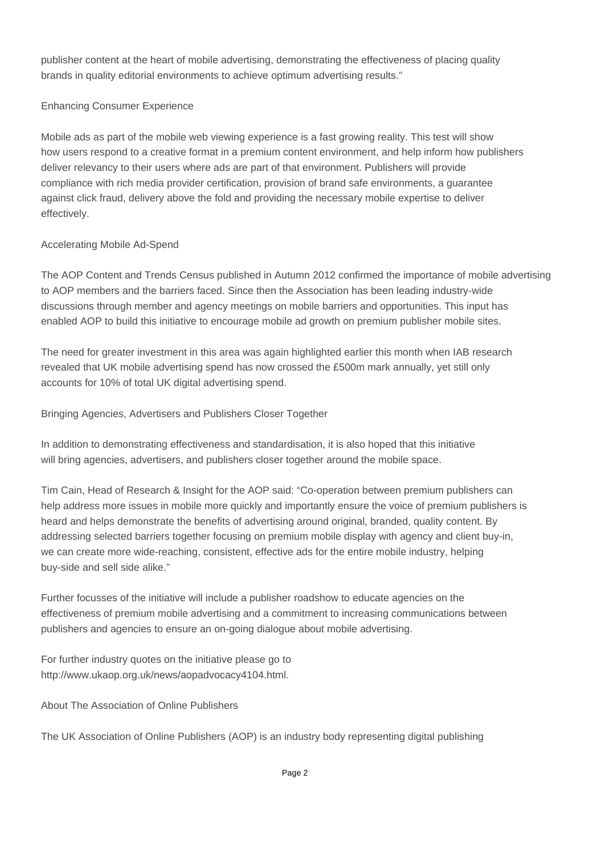publisher content at the heart of mobile advertising, demonstrating the effectiveness of placing quality brands in quality editorial environments to achieve optimum advertising results."

## Enhancing Consumer Experience

Mobile ads as part of the mobile web viewing experience is a fast growing reality. This test will show how users respond to a creative format in a premium content environment, and help inform how publishers deliver relevancy to their users where ads are part of that environment. Publishers will provide compliance with rich media provider certification, provision of brand safe environments, a guarantee against click fraud, delivery above the fold and providing the necessary mobile expertise to deliver effectively.

## Accelerating Mobile Ad-Spend

The AOP Content and Trends Census published in Autumn 2012 confirmed the importance of mobile advertising to AOP members and the barriers faced. Since then the Association has been leading industry-wide discussions through member and agency meetings on mobile barriers and opportunities. This input has enabled AOP to build this initiative to encourage mobile ad growth on premium publisher mobile sites.

The need for greater investment in this area was again highlighted earlier this month when IAB research revealed that UK mobile advertising spend has now crossed the £500m mark annually, yet still only accounts for 10% of total UK digital advertising spend.

Bringing Agencies, Advertisers and Publishers Closer Together

In addition to demonstrating effectiveness and standardisation, it is also hoped that this initiative will bring agencies, advertisers, and publishers closer together around the mobile space.

Tim Cain, Head of Research & Insight for the AOP said: "Co-operation between premium publishers can help address more issues in mobile more quickly and importantly ensure the voice of premium publishers is heard and helps demonstrate the benefits of advertising around original, branded, quality content. By addressing selected barriers together focusing on premium mobile display with agency and client buy-in, we can create more wide-reaching, consistent, effective ads for the entire mobile industry, helping buy-side and sell side alike."

Further focusses of the initiative will include a publisher roadshow to educate agencies on the effectiveness of premium mobile advertising and a commitment to increasing communications between publishers and agencies to ensure an on-going dialogue about mobile advertising.

For further industry quotes on the initiative please go to http://www.ukaop.org.uk/news/aopadvocacy4104.html.

About The Association of Online Publishers

The UK Association of Online Publishers (AOP) is an industry body representing digital publishing